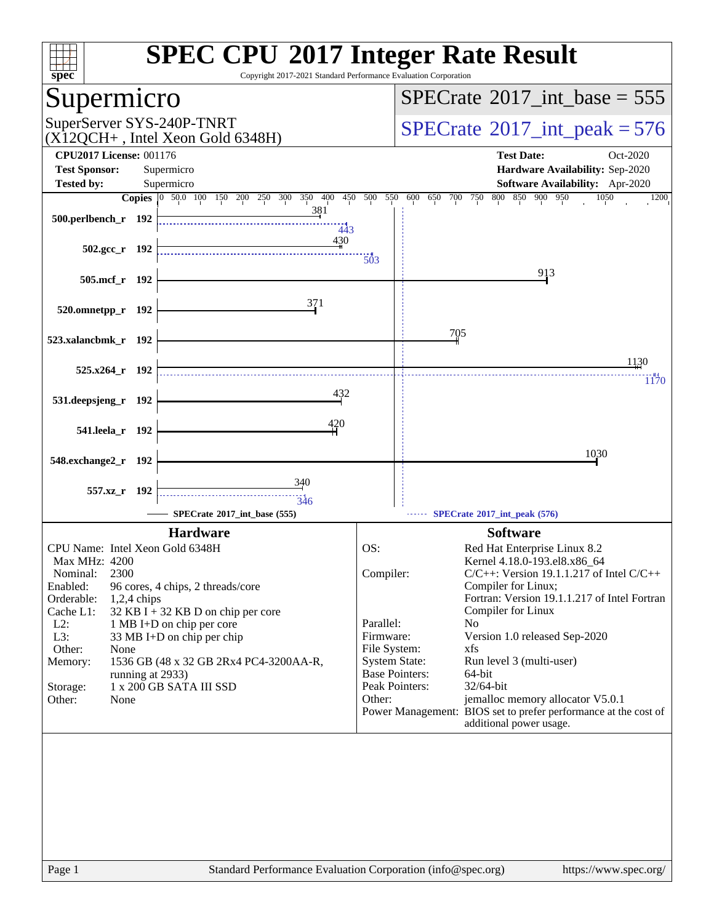| $spec^*$                                                                                                                                                                                                                                                                                                                                                                                                                                         | <b>SPEC CPU®2017 Integer Rate Result</b><br>Copyright 2017-2021 Standard Performance Evaluation Corporation                                                                                                                                                                                                                                                                                                                                                                                                                                                                                          |
|--------------------------------------------------------------------------------------------------------------------------------------------------------------------------------------------------------------------------------------------------------------------------------------------------------------------------------------------------------------------------------------------------------------------------------------------------|------------------------------------------------------------------------------------------------------------------------------------------------------------------------------------------------------------------------------------------------------------------------------------------------------------------------------------------------------------------------------------------------------------------------------------------------------------------------------------------------------------------------------------------------------------------------------------------------------|
| Supermicro                                                                                                                                                                                                                                                                                                                                                                                                                                       | $SPECrate^{\circledast}2017\_int\_base = 555$                                                                                                                                                                                                                                                                                                                                                                                                                                                                                                                                                        |
| SuperServer SYS-240P-TNRT<br>$(X12QCH+$ , Intel Xeon Gold 6348H)                                                                                                                                                                                                                                                                                                                                                                                 | $SPECrate^{\circ}2017\_int\_peak = 576$                                                                                                                                                                                                                                                                                                                                                                                                                                                                                                                                                              |
| <b>CPU2017 License: 001176</b><br><b>Test Sponsor:</b><br>Supermicro                                                                                                                                                                                                                                                                                                                                                                             | <b>Test Date:</b><br>Oct-2020<br>Hardware Availability: Sep-2020                                                                                                                                                                                                                                                                                                                                                                                                                                                                                                                                     |
| <b>Tested by:</b><br>Supermicro                                                                                                                                                                                                                                                                                                                                                                                                                  | Software Availability: Apr-2020                                                                                                                                                                                                                                                                                                                                                                                                                                                                                                                                                                      |
| Copies 0 50.0 100 150 200 250 300 350 400 450 500 550 600 650 700 750                                                                                                                                                                                                                                                                                                                                                                            | 800 850 900 950<br>1050<br>1200                                                                                                                                                                                                                                                                                                                                                                                                                                                                                                                                                                      |
| 381<br>500.perlbench_r 192<br>443                                                                                                                                                                                                                                                                                                                                                                                                                |                                                                                                                                                                                                                                                                                                                                                                                                                                                                                                                                                                                                      |
| 430<br>$502.\text{gcc r}$ 192                                                                                                                                                                                                                                                                                                                                                                                                                    | 503                                                                                                                                                                                                                                                                                                                                                                                                                                                                                                                                                                                                  |
| 505.mcf_r 192                                                                                                                                                                                                                                                                                                                                                                                                                                    | 913                                                                                                                                                                                                                                                                                                                                                                                                                                                                                                                                                                                                  |
| 371<br>520.omnetpp_r 192                                                                                                                                                                                                                                                                                                                                                                                                                         |                                                                                                                                                                                                                                                                                                                                                                                                                                                                                                                                                                                                      |
| 523.xalancbmk_r 192                                                                                                                                                                                                                                                                                                                                                                                                                              | 705                                                                                                                                                                                                                                                                                                                                                                                                                                                                                                                                                                                                  |
| $525.x264$ r 192                                                                                                                                                                                                                                                                                                                                                                                                                                 | 1130<br>1170                                                                                                                                                                                                                                                                                                                                                                                                                                                                                                                                                                                         |
| 432<br>531.deepsjeng_r 192                                                                                                                                                                                                                                                                                                                                                                                                                       |                                                                                                                                                                                                                                                                                                                                                                                                                                                                                                                                                                                                      |
| 420<br>541.leela_r 192                                                                                                                                                                                                                                                                                                                                                                                                                           |                                                                                                                                                                                                                                                                                                                                                                                                                                                                                                                                                                                                      |
| 548.exchange2_r 192                                                                                                                                                                                                                                                                                                                                                                                                                              | 1030                                                                                                                                                                                                                                                                                                                                                                                                                                                                                                                                                                                                 |
| 340<br>557.xz r 192<br>346                                                                                                                                                                                                                                                                                                                                                                                                                       |                                                                                                                                                                                                                                                                                                                                                                                                                                                                                                                                                                                                      |
| SPECrate®2017_int_base (555)                                                                                                                                                                                                                                                                                                                                                                                                                     | SPECrate®2017_int_peak (576)                                                                                                                                                                                                                                                                                                                                                                                                                                                                                                                                                                         |
| <b>Hardware</b>                                                                                                                                                                                                                                                                                                                                                                                                                                  | <b>Software</b>                                                                                                                                                                                                                                                                                                                                                                                                                                                                                                                                                                                      |
| CPU Name: Intel Xeon Gold 6348H<br><b>Max MHz: 4200</b><br>2300<br>Nominal:<br>Enabled:<br>96 cores, 4 chips, 2 threads/core<br>Orderable:<br>$1,2,4$ chips<br>Cache L1:<br>$32$ KB I + 32 KB D on chip per core<br>$L2$ :<br>1 MB I+D on chip per core<br>L3:<br>33 MB I+D on chip per chip<br>Other:<br>None<br>1536 GB (48 x 32 GB 2Rx4 PC4-3200AA-R,<br>Memory:<br>running at 2933)<br>1 x 200 GB SATA III SSD<br>Storage:<br>Other:<br>None | OS:<br>Red Hat Enterprise Linux 8.2<br>Kernel 4.18.0-193.el8.x86_64<br>Compiler:<br>$C/C++$ : Version 19.1.1.217 of Intel $C/C++$<br>Compiler for Linux;<br>Fortran: Version 19.1.1.217 of Intel Fortran<br>Compiler for Linux<br>Parallel:<br>N <sub>0</sub><br>Firmware:<br>Version 1.0 released Sep-2020<br>File System:<br>xfs<br><b>System State:</b><br>Run level 3 (multi-user)<br><b>Base Pointers:</b><br>64-bit<br>Peak Pointers:<br>32/64-bit<br>jemalloc memory allocator V5.0.1<br>Other:<br>Power Management: BIOS set to prefer performance at the cost of<br>additional power usage. |
| Page 1                                                                                                                                                                                                                                                                                                                                                                                                                                           | Standard Performance Evaluation Corporation (info@spec.org)<br>https://www.spec.org/                                                                                                                                                                                                                                                                                                                                                                                                                                                                                                                 |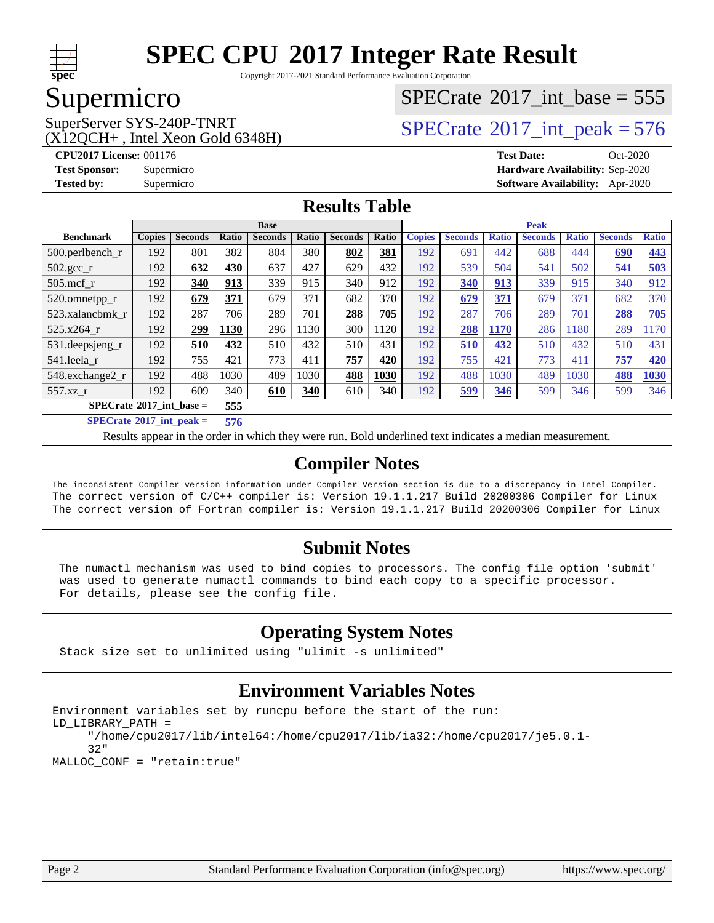

Copyright 2017-2021 Standard Performance Evaluation Corporation

## Supermicro

 $(X12OCH+$ , Intel Xeon Gold 6348H)

# $SPECTate$ <sup>®</sup>[2017\\_int\\_base =](http://www.spec.org/auto/cpu2017/Docs/result-fields.html#SPECrate2017intbase) 555

SuperServer SYS-240P-TNRT  $\begin{array}{c|c}\n\text{SuperServer SYS-240P-TNRT} & & \text{SPECrate} \n\hline\n\text{SPECrate} \n\end{array}$  $\begin{array}{c|c}\n\text{SuperServer SYS-240P-TNRT} & & \text{SPECrate} \n\hline\n\text{SPECrate} \n\end{array}$  $\begin{array}{c|c}\n\text{SuperServer SYS-240P-TNRT} & & \text{SPECrate} \n\hline\n\text{SPECrate} \n\end{array}$ 

**[CPU2017 License:](http://www.spec.org/auto/cpu2017/Docs/result-fields.html#CPU2017License)** 001176 **[Test Date:](http://www.spec.org/auto/cpu2017/Docs/result-fields.html#TestDate)** Oct-2020 **[Test Sponsor:](http://www.spec.org/auto/cpu2017/Docs/result-fields.html#TestSponsor)** Supermicro **[Hardware Availability:](http://www.spec.org/auto/cpu2017/Docs/result-fields.html#HardwareAvailability)** Sep-2020 **[Tested by:](http://www.spec.org/auto/cpu2017/Docs/result-fields.html#Testedby)** Supermicro **[Software Availability:](http://www.spec.org/auto/cpu2017/Docs/result-fields.html#SoftwareAvailability)** Apr-2020

### **[Results Table](http://www.spec.org/auto/cpu2017/Docs/result-fields.html#ResultsTable)**

|                                          | <b>Base</b>   |                |              |                |       |                |       | <b>Peak</b>   |                |              |                |              |                |              |
|------------------------------------------|---------------|----------------|--------------|----------------|-------|----------------|-------|---------------|----------------|--------------|----------------|--------------|----------------|--------------|
| <b>Benchmark</b>                         | <b>Copies</b> | <b>Seconds</b> | <b>Ratio</b> | <b>Seconds</b> | Ratio | <b>Seconds</b> | Ratio | <b>Copies</b> | <b>Seconds</b> | <b>Ratio</b> | <b>Seconds</b> | <b>Ratio</b> | <b>Seconds</b> | <b>Ratio</b> |
| $500$ .perlbench r                       | 192           | 801            | 382          | 804            | 380   | 802            | 381   | 192           | 691            | 442          | 688            | 444          | 690            | <b>443</b>   |
| $502.\text{gcc}$                         | 192           | 632            | 430          | 637            | 427   | 629            | 432   | 192           | 539            | 504          | 541            | 502          | 541            | 503          |
| $505$ .mcf r                             | 192           | 340            | 913          | 339            | 915   | 340            | 912   | 192           | 340            | 913          | 339            | 915          | 340            | 912          |
| 520.omnetpp_r                            | 192           | 679            | 371          | 679            | 371   | 682            | 370   | 192           | 679            | 371          | 679            | 371          | 682            | 370          |
| 523.xalancbmk r                          | 192           | 287            | 706          | 289            | 701   | 288            | 705   | 192           | 287            | 706          | 289            | 701          | 288            | 705          |
| $525.x264$ r                             | 192           | 299            | 1130         | 296            | 130   | 300            | 1120  | 192           | 288            | <b>1170</b>  | 286            | 1180         | 289            | 1170         |
| 531.deepsjeng_r                          | 192           | 510            | 432          | 510            | 432   | 510            | 431   | 192           | 510            | 432          | 510            | 432          | 510            | 431          |
| 541.leela r                              | 192           | 755            | 421          | 773            | 411   | 757            | 420   | 192           | 755            | 421          | 773            | 411          | 757            | 420          |
| 548.exchange2_r                          | 192           | 488            | 1030         | 489            | 1030  | 488            | 1030  | 192           | 488            | 1030         | 489            | 1030         | 488            | 1030         |
| 557.xz                                   | 192           | 609            | 340          | 610            | 340   | 610            | 340   | 192           | 599            | 346          | 599            | 346          | 599            | 346          |
| $SPECrate^{\circ}2017$ int base =<br>555 |               |                |              |                |       |                |       |               |                |              |                |              |                |              |
| $CDEQ \rightarrow 0.017 \cdot 1 \cdot 1$ |               |                | ---          |                |       |                |       |               |                |              |                |              |                |              |

**[SPECrate](http://www.spec.org/auto/cpu2017/Docs/result-fields.html#SPECrate2017intpeak)[2017\\_int\\_peak =](http://www.spec.org/auto/cpu2017/Docs/result-fields.html#SPECrate2017intpeak) 576**

Results appear in the [order in which they were run](http://www.spec.org/auto/cpu2017/Docs/result-fields.html#RunOrder). Bold underlined text [indicates a median measurement](http://www.spec.org/auto/cpu2017/Docs/result-fields.html#Median).

### **[Compiler Notes](http://www.spec.org/auto/cpu2017/Docs/result-fields.html#CompilerNotes)**

The inconsistent Compiler version information under Compiler Version section is due to a discrepancy in Intel Compiler. The correct version of C/C++ compiler is: Version 19.1.1.217 Build 20200306 Compiler for Linux The correct version of Fortran compiler is: Version 19.1.1.217 Build 20200306 Compiler for Linux

### **[Submit Notes](http://www.spec.org/auto/cpu2017/Docs/result-fields.html#SubmitNotes)**

 The numactl mechanism was used to bind copies to processors. The config file option 'submit' was used to generate numactl commands to bind each copy to a specific processor. For details, please see the config file.

### **[Operating System Notes](http://www.spec.org/auto/cpu2017/Docs/result-fields.html#OperatingSystemNotes)**

Stack size set to unlimited using "ulimit -s unlimited"

### **[Environment Variables Notes](http://www.spec.org/auto/cpu2017/Docs/result-fields.html#EnvironmentVariablesNotes)**

```
Environment variables set by runcpu before the start of the run:
LD_LIBRARY_PATH =
      "/home/cpu2017/lib/intel64:/home/cpu2017/lib/ia32:/home/cpu2017/je5.0.1-
      32"
MALLOC_CONF = "retain:true"
```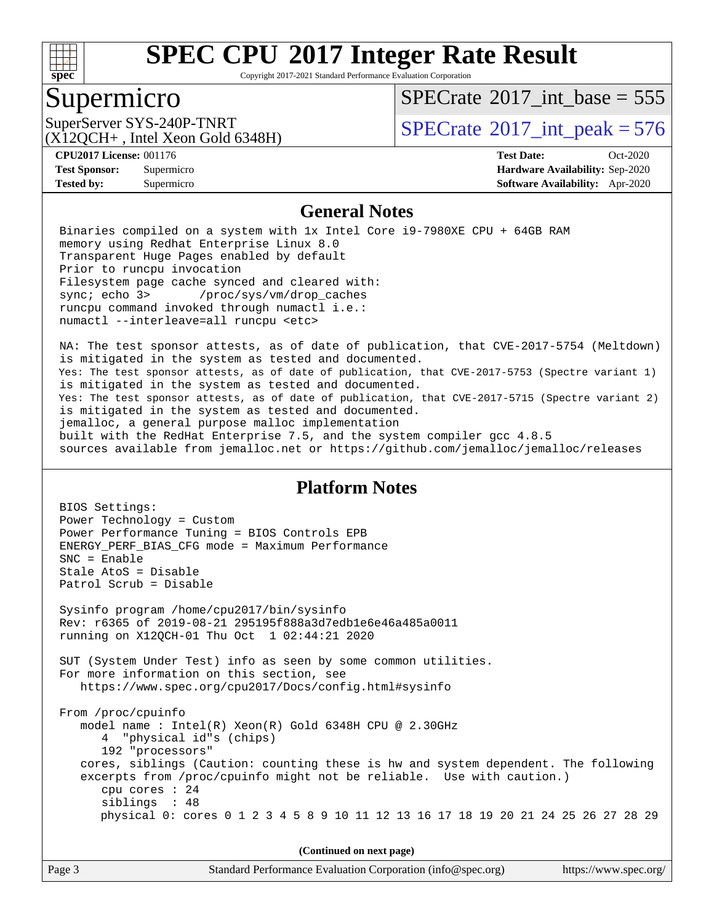

Copyright 2017-2021 Standard Performance Evaluation Corporation

### Supermicro

 $SPECTate$ <sup>®</sup>[2017\\_int\\_base =](http://www.spec.org/auto/cpu2017/Docs/result-fields.html#SPECrate2017intbase) 555

(X12QCH+ , Intel Xeon Gold 6348H)

SuperServer SYS-240P-TNRT  $\begin{array}{|l|l|}\n\hline\n\text{SuperServer SYS-240P-TNRT}\n\hline\n\end{array}$   $\begin{array}{|l|l|}\n\hline\n\text{SPECrate}®2017\_int\_peak = 576\n\end{array}$  $\begin{array}{|l|l|}\n\hline\n\text{SPECrate}®2017\_int\_peak = 576\n\end{array}$  $\begin{array}{|l|l|}\n\hline\n\text{SPECrate}®2017\_int\_peak = 576\n\end{array}$ 

**[Tested by:](http://www.spec.org/auto/cpu2017/Docs/result-fields.html#Testedby)** Supermicro **[Software Availability:](http://www.spec.org/auto/cpu2017/Docs/result-fields.html#SoftwareAvailability)** Apr-2020

**[CPU2017 License:](http://www.spec.org/auto/cpu2017/Docs/result-fields.html#CPU2017License)** 001176 **[Test Date:](http://www.spec.org/auto/cpu2017/Docs/result-fields.html#TestDate)** Oct-2020 **[Test Sponsor:](http://www.spec.org/auto/cpu2017/Docs/result-fields.html#TestSponsor)** Supermicro **[Hardware Availability:](http://www.spec.org/auto/cpu2017/Docs/result-fields.html#HardwareAvailability)** Sep-2020

#### **[General Notes](http://www.spec.org/auto/cpu2017/Docs/result-fields.html#GeneralNotes)**

 Binaries compiled on a system with 1x Intel Core i9-7980XE CPU + 64GB RAM memory using Redhat Enterprise Linux 8.0 Transparent Huge Pages enabled by default Prior to runcpu invocation Filesystem page cache synced and cleared with: sync; echo 3> /proc/sys/vm/drop\_caches runcpu command invoked through numactl i.e.: numactl --interleave=all runcpu <etc>

 NA: The test sponsor attests, as of date of publication, that CVE-2017-5754 (Meltdown) is mitigated in the system as tested and documented. Yes: The test sponsor attests, as of date of publication, that CVE-2017-5753 (Spectre variant 1) is mitigated in the system as tested and documented. Yes: The test sponsor attests, as of date of publication, that CVE-2017-5715 (Spectre variant 2) is mitigated in the system as tested and documented. jemalloc, a general purpose malloc implementation built with the RedHat Enterprise 7.5, and the system compiler gcc 4.8.5 sources available from jemalloc.net or<https://github.com/jemalloc/jemalloc/releases>

### **[Platform Notes](http://www.spec.org/auto/cpu2017/Docs/result-fields.html#PlatformNotes)**

 BIOS Settings: Power Technology = Custom Power Performance Tuning = BIOS Controls EPB ENERGY\_PERF\_BIAS\_CFG mode = Maximum Performance SNC = Enable Stale AtoS = Disable Patrol Scrub = Disable Sysinfo program /home/cpu2017/bin/sysinfo Rev: r6365 of 2019-08-21 295195f888a3d7edb1e6e46a485a0011 running on X12QCH-01 Thu Oct 1 02:44:21 2020 SUT (System Under Test) info as seen by some common utilities. For more information on this section, see <https://www.spec.org/cpu2017/Docs/config.html#sysinfo> From /proc/cpuinfo model name : Intel(R) Xeon(R) Gold 6348H CPU @ 2.30GHz 4 "physical id"s (chips) 192 "processors" cores, siblings (Caution: counting these is hw and system dependent. The following excerpts from /proc/cpuinfo might not be reliable. Use with caution.) cpu cores : 24 siblings : 48 physical 0: cores 0 1 2 3 4 5 8 9 10 11 12 13 16 17 18 19 20 21 24 25 26 27 28 29 **(Continued on next page)**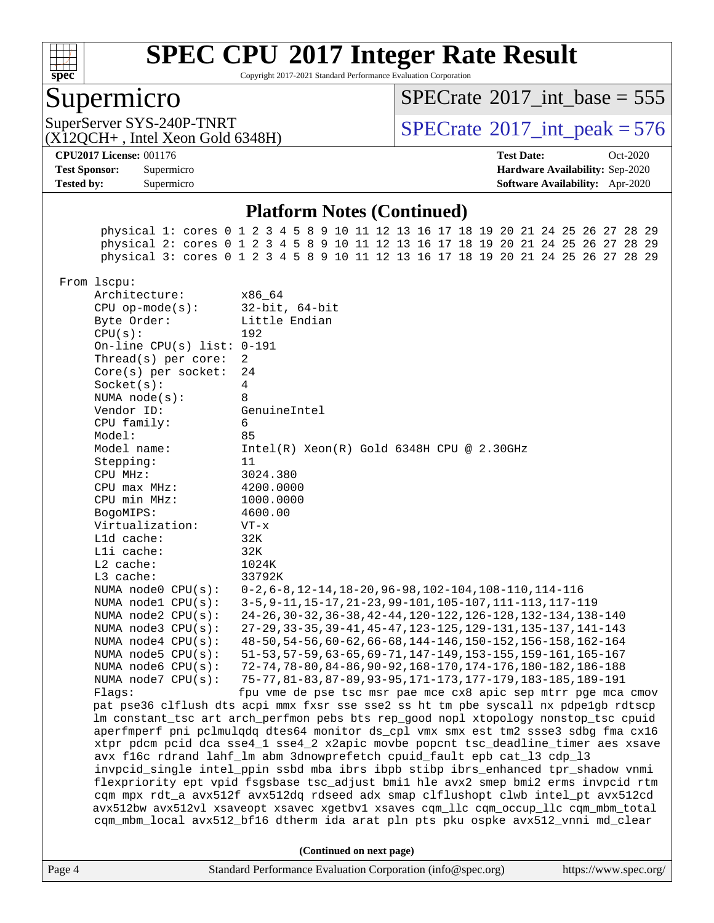

Copyright 2017-2021 Standard Performance Evaluation Corporation

### Supermicro

 $SPECTate$ <sup>®</sup>[2017\\_int\\_base =](http://www.spec.org/auto/cpu2017/Docs/result-fields.html#SPECrate2017intbase) 555

(X12QCH+ , Intel Xeon Gold 6348H)

SuperServer SYS-240P-TNRT  $\begin{array}{c|c}\n\text{SuperServer SYS-240P-TNRT} \\
\text{C2120CH+ Intel Zeon Gold 6348H}\n\end{array}$   $\begin{array}{c|c}\n\text{SPECrate} \textcirc 2017\_int\_peak = 576\n\end{array}$  $\begin{array}{c|c}\n\text{SPECrate} \textcirc 2017\_int\_peak = 576\n\end{array}$  $\begin{array}{c|c}\n\text{SPECrate} \textcirc 2017\_int\_peak = 576\n\end{array}$ 

**[Tested by:](http://www.spec.org/auto/cpu2017/Docs/result-fields.html#Testedby)** Supermicro **[Software Availability:](http://www.spec.org/auto/cpu2017/Docs/result-fields.html#SoftwareAvailability)** Apr-2020

**[CPU2017 License:](http://www.spec.org/auto/cpu2017/Docs/result-fields.html#CPU2017License)** 001176 **[Test Date:](http://www.spec.org/auto/cpu2017/Docs/result-fields.html#TestDate)** Oct-2020 **[Test Sponsor:](http://www.spec.org/auto/cpu2017/Docs/result-fields.html#TestSponsor)** Supermicro **[Hardware Availability:](http://www.spec.org/auto/cpu2017/Docs/result-fields.html#HardwareAvailability)** Sep-2020

#### **[Platform Notes \(Continued\)](http://www.spec.org/auto/cpu2017/Docs/result-fields.html#PlatformNotes)**

Page 4 Standard Performance Evaluation Corporation [\(info@spec.org\)](mailto:info@spec.org) <https://www.spec.org/> physical 1: cores 0 1 2 3 4 5 8 9 10 11 12 13 16 17 18 19 20 21 24 25 26 27 28 29 physical 2: cores 0 1 2 3 4 5 8 9 10 11 12 13 16 17 18 19 20 21 24 25 26 27 28 29 physical 3: cores 0 1 2 3 4 5 8 9 10 11 12 13 16 17 18 19 20 21 24 25 26 27 28 29 From lscpu: Architecture: x86\_64 CPU op-mode(s): 32-bit, 64-bit Byte Order: Little Endian CPU(s): 192 On-line CPU(s) list: 0-191 Thread(s) per core: 2 Core(s) per socket: 24 Socket(s): 4 NUMA node(s): 8 Vendor ID: GenuineIntel CPU family: 6 Model: 85 Model name: Intel(R) Xeon(R) Gold 6348H CPU @ 2.30GHz Stepping: 11 CPU MHz: 3024.380 CPU max MHz: 4200.0000 CPU min MHz: 1000.0000 BogoMIPS: 4600.00 Virtualization: VT-x L1d cache: 32K L1i cache: 32K L2 cache: 1024K L3 cache: 33792K NUMA node0 CPU(s): 0-2,6-8,12-14,18-20,96-98,102-104,108-110,114-116 NUMA node1 CPU(s): 3-5,9-11,15-17,21-23,99-101,105-107,111-113,117-119 NUMA node2 CPU(s): 24-26,30-32,36-38,42-44,120-122,126-128,132-134,138-140 NUMA node3 CPU(s): 27-29,33-35,39-41,45-47,123-125,129-131,135-137,141-143 NUMA node4 CPU(s): 48-50,54-56,60-62,66-68,144-146,150-152,156-158,162-164 NUMA node5 CPU(s): 51-53,57-59,63-65,69-71,147-149,153-155,159-161,165-167 NUMA node6 CPU(s): 72-74,78-80,84-86,90-92,168-170,174-176,180-182,186-188 NUMA node7 CPU(s): 75-77,81-83,87-89,93-95,171-173,177-179,183-185,189-191 Flags: fpu vme de pse tsc msr pae mce cx8 apic sep mtrr pge mca cmov pat pse36 clflush dts acpi mmx fxsr sse sse2 ss ht tm pbe syscall nx pdpe1gb rdtscp lm constant\_tsc art arch\_perfmon pebs bts rep\_good nopl xtopology nonstop\_tsc cpuid aperfmperf pni pclmulqdq dtes64 monitor ds\_cpl vmx smx est tm2 ssse3 sdbg fma cx16 xtpr pdcm pcid dca sse4\_1 sse4\_2 x2apic movbe popcnt tsc\_deadline\_timer aes xsave avx f16c rdrand lahf\_lm abm 3dnowprefetch cpuid\_fault epb cat\_l3 cdp\_l3 invpcid\_single intel\_ppin ssbd mba ibrs ibpb stibp ibrs\_enhanced tpr\_shadow vnmi flexpriority ept vpid fsgsbase tsc\_adjust bmi1 hle avx2 smep bmi2 erms invpcid rtm cqm mpx rdt\_a avx512f avx512dq rdseed adx smap clflushopt clwb intel\_pt avx512cd avx512bw avx512vl xsaveopt xsavec xgetbv1 xsaves cqm\_llc cqm\_occup\_llc cqm\_mbm\_total cqm\_mbm\_local avx512\_bf16 dtherm ida arat pln pts pku ospke avx512\_vnni md\_clear **(Continued on next page)**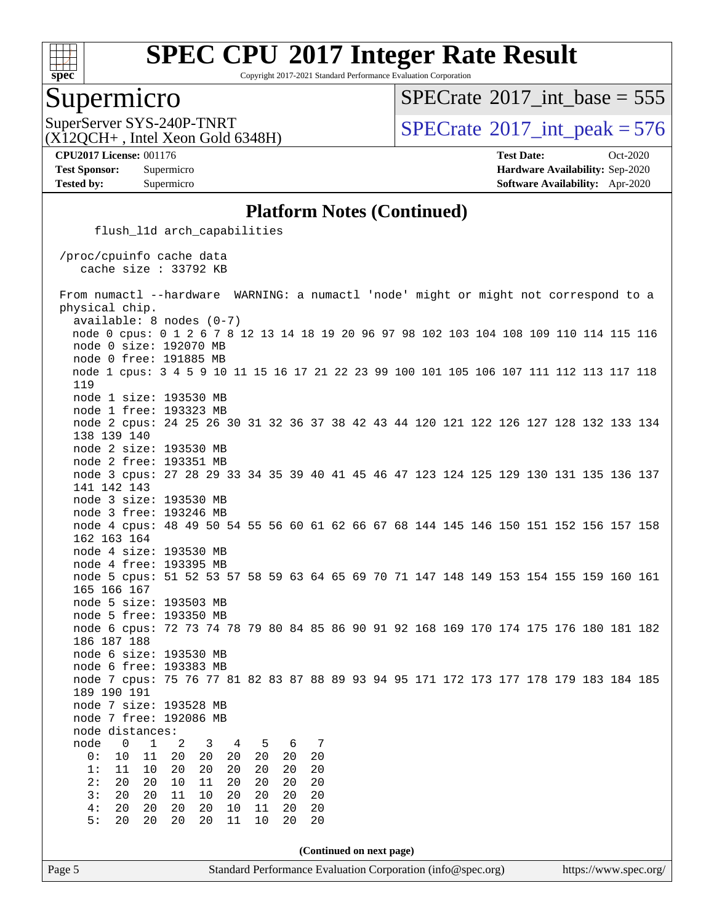

Copyright 2017-2021 Standard Performance Evaluation Corporation

### Supermicro

 $SPECTate$ <sup>®</sup>[2017\\_int\\_base =](http://www.spec.org/auto/cpu2017/Docs/result-fields.html#SPECrate2017intbase) 555

(X12QCH+ , Intel Xeon Gold 6348H)

SuperServer SYS-240P-TNRT  $SUS-240P-TRRT$   $SPECrate^{\circ}2017\_int\_peak = 576$  $SPECrate^{\circ}2017\_int\_peak = 576$ 

**[Tested by:](http://www.spec.org/auto/cpu2017/Docs/result-fields.html#Testedby)** Supermicro **[Software Availability:](http://www.spec.org/auto/cpu2017/Docs/result-fields.html#SoftwareAvailability)** Apr-2020

**[CPU2017 License:](http://www.spec.org/auto/cpu2017/Docs/result-fields.html#CPU2017License)** 001176 **[Test Date:](http://www.spec.org/auto/cpu2017/Docs/result-fields.html#TestDate)** Oct-2020 **[Test Sponsor:](http://www.spec.org/auto/cpu2017/Docs/result-fields.html#TestSponsor)** Supermicro **[Hardware Availability:](http://www.spec.org/auto/cpu2017/Docs/result-fields.html#HardwareAvailability)** Sep-2020

#### **[Platform Notes \(Continued\)](http://www.spec.org/auto/cpu2017/Docs/result-fields.html#PlatformNotes)**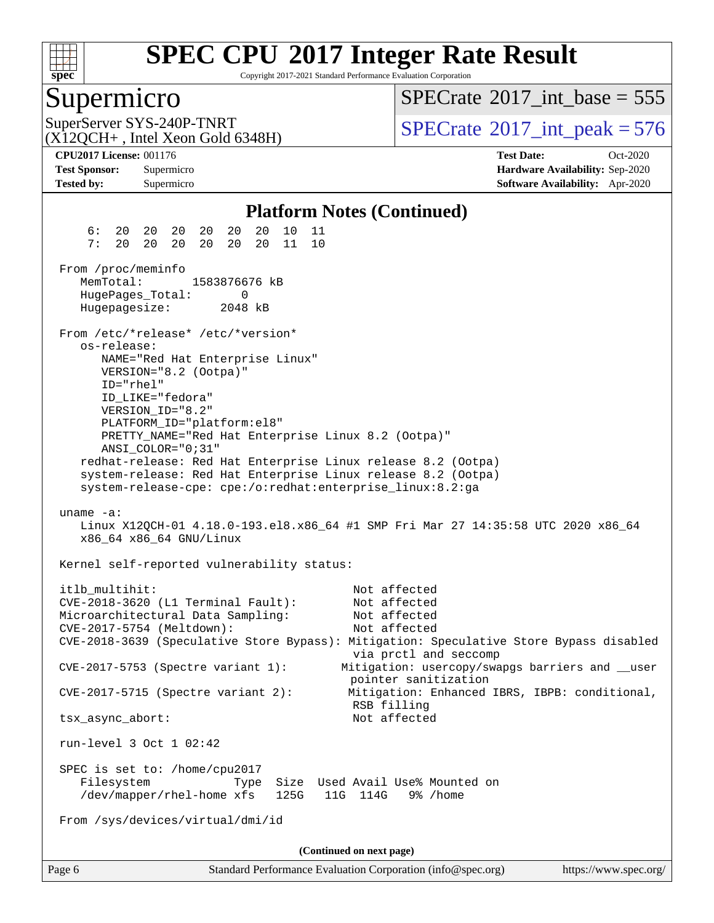

Copyright 2017-2021 Standard Performance Evaluation Corporation

### Supermicro

 $SPECTate$ <sup>®</sup>[2017\\_int\\_base =](http://www.spec.org/auto/cpu2017/Docs/result-fields.html#SPECrate2017intbase) 555

(X12QCH+ , Intel Xeon Gold 6348H)

SuperServer SYS-240P-TNRT  $\begin{array}{c|c}\n\text{SuperServer SYS-240P-TNRT} & & \text{SPECrate} \n\hline\n\text{SPECrate} \n\end{array}$  $\begin{array}{c|c}\n\text{SuperServer SYS-240P-TNRT} & & \text{SPECrate} \n\hline\n\text{SPECrate} \n\end{array}$  $\begin{array}{c|c}\n\text{SuperServer SYS-240P-TNRT} & & \text{SPECrate} \n\hline\n\text{SPECrate} \n\end{array}$ 

**[Tested by:](http://www.spec.org/auto/cpu2017/Docs/result-fields.html#Testedby)** Supermicro **[Software Availability:](http://www.spec.org/auto/cpu2017/Docs/result-fields.html#SoftwareAvailability)** Apr-2020

**[CPU2017 License:](http://www.spec.org/auto/cpu2017/Docs/result-fields.html#CPU2017License)** 001176 **[Test Date:](http://www.spec.org/auto/cpu2017/Docs/result-fields.html#TestDate)** Oct-2020 **[Test Sponsor:](http://www.spec.org/auto/cpu2017/Docs/result-fields.html#TestSponsor)** Supermicro **[Hardware Availability:](http://www.spec.org/auto/cpu2017/Docs/result-fields.html#HardwareAvailability)** Sep-2020

#### **[Platform Notes \(Continued\)](http://www.spec.org/auto/cpu2017/Docs/result-fields.html#PlatformNotes)**

 6: 20 20 20 20 20 20 10 11 7: 20 20 20 20 20 20 11 10 From /proc/meminfo MemTotal: 1583876676 kB HugePages\_Total: 0 Hugepagesize: 2048 kB From /etc/\*release\* /etc/\*version\* os-release: NAME="Red Hat Enterprise Linux" VERSION="8.2 (Ootpa)" ID="rhel" ID\_LIKE="fedora" VERSION\_ID="8.2" PLATFORM\_ID="platform:el8" PRETTY\_NAME="Red Hat Enterprise Linux 8.2 (Ootpa)" ANSI\_COLOR="0;31" redhat-release: Red Hat Enterprise Linux release 8.2 (Ootpa) system-release: Red Hat Enterprise Linux release 8.2 (Ootpa) system-release-cpe: cpe:/o:redhat:enterprise\_linux:8.2:ga uname -a: Linux X12QCH-01 4.18.0-193.el8.x86\_64 #1 SMP Fri Mar 27 14:35:58 UTC 2020 x86\_64 x86\_64 x86\_64 GNU/Linux Kernel self-reported vulnerability status: itlb\_multihit: Not affected CVE-2018-3620 (L1 Terminal Fault): Not affected Microarchitectural Data Sampling: CVE-2017-5754 (Meltdown): Not affected CVE-2018-3639 (Speculative Store Bypass): Mitigation: Speculative Store Bypass disabled via prctl and seccomp CVE-2017-5753 (Spectre variant 1): Mitigation: usercopy/swapgs barriers and \_\_user pointer sanitization CVE-2017-5715 (Spectre variant 2): Mitigation: Enhanced IBRS, IBPB: conditional, RSB filling tsx\_async\_abort: Not affected run-level 3 Oct 1 02:42 SPEC is set to: /home/cpu2017 Filesystem Type Size Used Avail Use% Mounted on /dev/mapper/rhel-home xfs 125G 11G 114G 9% /home From /sys/devices/virtual/dmi/id **(Continued on next page)**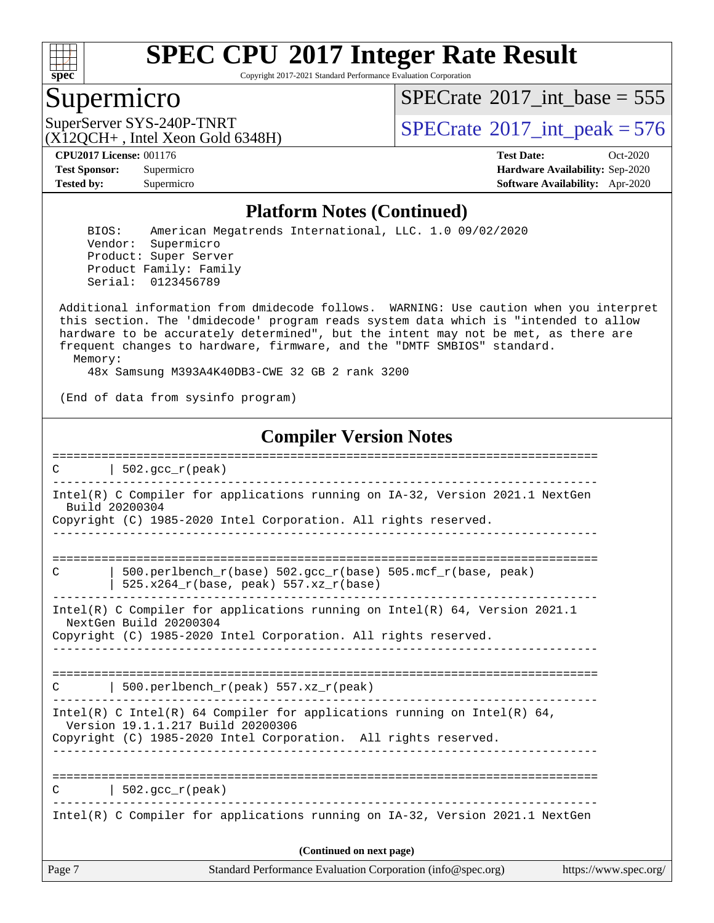

Copyright 2017-2021 Standard Performance Evaluation Corporation

### Supermicro

 $SPECTate$ <sup>®</sup>[2017\\_int\\_base =](http://www.spec.org/auto/cpu2017/Docs/result-fields.html#SPECrate2017intbase) 555

(X12QCH+ , Intel Xeon Gold 6348H)

SuperServer SYS-240P-TNRT  $\begin{array}{c|c} |\text{SPECrate} \text{\textdegree}2017\_int\_peak = 576 \end{array}$  $\begin{array}{c|c} |\text{SPECrate} \text{\textdegree}2017\_int\_peak = 576 \end{array}$  $\begin{array}{c|c} |\text{SPECrate} \text{\textdegree}2017\_int\_peak = 576 \end{array}$ 

**[Tested by:](http://www.spec.org/auto/cpu2017/Docs/result-fields.html#Testedby)** Supermicro **[Software Availability:](http://www.spec.org/auto/cpu2017/Docs/result-fields.html#SoftwareAvailability)** Apr-2020

**[CPU2017 License:](http://www.spec.org/auto/cpu2017/Docs/result-fields.html#CPU2017License)** 001176 **[Test Date:](http://www.spec.org/auto/cpu2017/Docs/result-fields.html#TestDate)** Oct-2020 **[Test Sponsor:](http://www.spec.org/auto/cpu2017/Docs/result-fields.html#TestSponsor)** Supermicro **[Hardware Availability:](http://www.spec.org/auto/cpu2017/Docs/result-fields.html#HardwareAvailability)** Sep-2020

#### **[Platform Notes \(Continued\)](http://www.spec.org/auto/cpu2017/Docs/result-fields.html#PlatformNotes)**

 BIOS: American Megatrends International, LLC. 1.0 09/02/2020 Vendor: Supermicro Product: Super Server Product Family: Family Serial: 0123456789

 Additional information from dmidecode follows. WARNING: Use caution when you interpret this section. The 'dmidecode' program reads system data which is "intended to allow hardware to be accurately determined", but the intent may not be met, as there are frequent changes to hardware, firmware, and the "DMTF SMBIOS" standard. Memory:

48x Samsung M393A4K40DB3-CWE 32 GB 2 rank 3200

(End of data from sysinfo program)

#### **[Compiler Version Notes](http://www.spec.org/auto/cpu2017/Docs/result-fields.html#CompilerVersionNotes)**

| C      | 502. $qcc r (peak)$                                                                                           |
|--------|---------------------------------------------------------------------------------------------------------------|
|        | Intel(R) C Compiler for applications running on IA-32, Version 2021.1 NextGen<br>Build 20200304               |
|        | Copyright (C) 1985-2020 Intel Corporation. All rights reserved.                                               |
|        |                                                                                                               |
| C      | 500.perlbench_r(base) 502.gcc_r(base) 505.mcf_r(base, peak)<br>$525.x264_r(base, peak) 557.xz_r(base)$        |
|        | Intel(R) C Compiler for applications running on $Intel(R) 64$ , Version 2021.1<br>NextGen Build 20200304      |
|        | Copyright (C) 1985-2020 Intel Corporation. All rights reserved.                                               |
|        |                                                                                                               |
| C      | 500.perlbench_r(peak) 557.xz_r(peak)                                                                          |
|        | Intel(R) C Intel(R) 64 Compiler for applications running on Intel(R) 64,<br>Version 19.1.1.217 Build 20200306 |
|        | Copyright (C) 1985-2020 Intel Corporation. All rights reserved.                                               |
|        |                                                                                                               |
| C      | 502.gcc $r(\text{peak})$                                                                                      |
|        | Intel(R) C Compiler for applications running on IA-32, Version 2021.1 NextGen                                 |
|        | (Continued on next page)                                                                                      |
| Page 7 | Standard Performance Evaluation Corporation (info@spec.org)<br>https://www.spec.org/                          |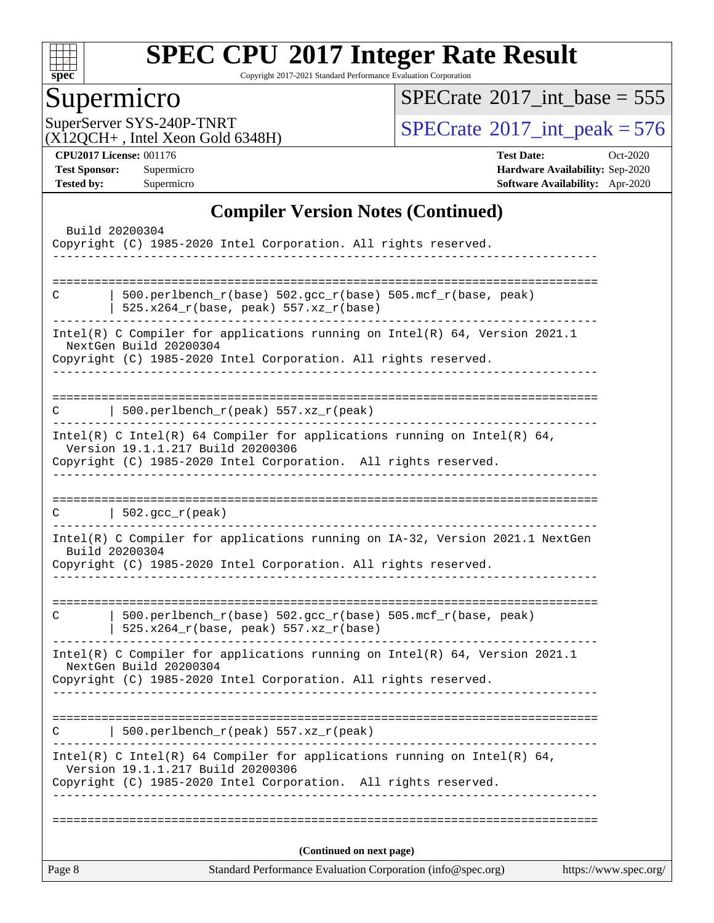

Copyright 2017-2021 Standard Performance Evaluation Corporation

# **Supermicro**

 $SPECrate$ <sup>®</sup>[2017\\_int\\_base =](http://www.spec.org/auto/cpu2017/Docs/result-fields.html#SPECrate2017intbase) 555

(X12QCH+ , Intel Xeon Gold 6348H)

SuperServer SYS-240P-TNRT<br>(X12OCH+ Intel Xeon Gold 6348H) [SPECrate](http://www.spec.org/auto/cpu2017/Docs/result-fields.html#SPECrate2017intpeak)®[2017\\_int\\_peak = 5](http://www.spec.org/auto/cpu2017/Docs/result-fields.html#SPECrate2017intpeak)76

**[CPU2017 License:](http://www.spec.org/auto/cpu2017/Docs/result-fields.html#CPU2017License)** 001176 **[Test Date:](http://www.spec.org/auto/cpu2017/Docs/result-fields.html#TestDate)** Oct-2020 **[Test Sponsor:](http://www.spec.org/auto/cpu2017/Docs/result-fields.html#TestSponsor)** Supermicro **[Hardware Availability:](http://www.spec.org/auto/cpu2017/Docs/result-fields.html#HardwareAvailability)** Sep-2020 **[Tested by:](http://www.spec.org/auto/cpu2017/Docs/result-fields.html#Testedby)** Supermicro **[Software Availability:](http://www.spec.org/auto/cpu2017/Docs/result-fields.html#SoftwareAvailability)** Apr-2020

### **[Compiler Version Notes \(Continued\)](http://www.spec.org/auto/cpu2017/Docs/result-fields.html#CompilerVersionNotes)**

|                | Intel(R) C Compiler for applications running on $Intel(R) 64$ , Version 2021.1<br>NextGen Build 20200304<br>Copyright (C) 1985-2020 Intel Corporation. All rights reserved.                                                 |  |
|----------------|-----------------------------------------------------------------------------------------------------------------------------------------------------------------------------------------------------------------------------|--|
|                | .<br>-------------------------------                                                                                                                                                                                        |  |
| C              | $500.perlbench_r(peak) 557. xz_r(peak)$<br>Intel(R) C Intel(R) 64 Compiler for applications running on Intel(R) 64,<br>Version 19.1.1.217 Build 20200306<br>Copyright (C) 1985-2020 Intel Corporation. All rights reserved. |  |
|                | $C \qquad   \quad 502 \text{.} \text{gcc\_r} \text{ (peak)}$<br>_____________________________________<br>Intel(R) C Compiler for applications running on IA-32, Version 2021.1 NextGen                                      |  |
| Build 20200304 | Copyright (C) 1985-2020 Intel Corporation. All rights reserved.                                                                                                                                                             |  |
| C              | 500.perlbench_r(base) 502.gcc_r(base) 505.mcf_r(base, peak)<br>525.x264_r(base, peak) 557.xz_r(base)                                                                                                                        |  |
|                | Intel(R) C Compiler for applications running on $Intel(R) 64$ , Version 2021.1<br>NextGen Build 20200304<br>Copyright (C) 1985-2020 Intel Corporation. All rights reserved.                                                 |  |
|                |                                                                                                                                                                                                                             |  |
| C              | $500. perlbench_r (peak) 557. xz_r (peak)$                                                                                                                                                                                  |  |
|                | Intel(R) C Intel(R) 64 Compiler for applications running on Intel(R) 64,<br>Version 19.1.1.217 Build 20200306<br>Copyright (C) 1985-2020 Intel Corporation. All rights reserved.                                            |  |
|                | (Continued on next page)                                                                                                                                                                                                    |  |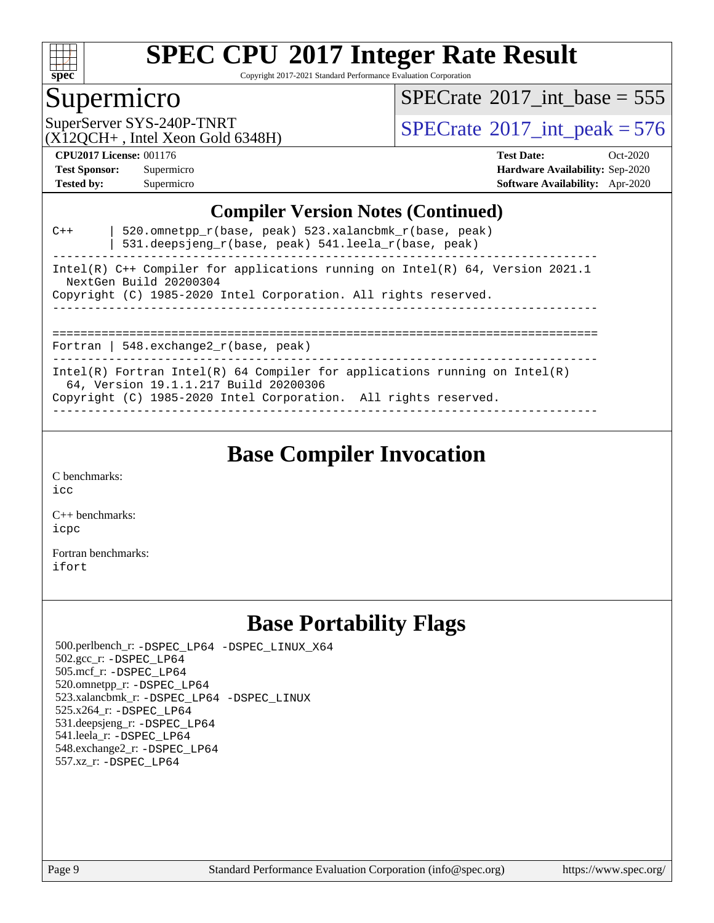

Copyright 2017-2021 Standard Performance Evaluation Corporation

## Supermicro

 $SPECTate$ <sup>®</sup>[2017\\_int\\_base =](http://www.spec.org/auto/cpu2017/Docs/result-fields.html#SPECrate2017intbase) 555

(X12QCH+ , Intel Xeon Gold 6348H)

SuperServer SYS-240P-TNRT<br>(X12OCH+ Intel Xeon Gold 6348H) [SPECrate](http://www.spec.org/auto/cpu2017/Docs/result-fields.html#SPECrate2017intpeak)®[2017\\_int\\_peak = 5](http://www.spec.org/auto/cpu2017/Docs/result-fields.html#SPECrate2017intpeak)76

**[CPU2017 License:](http://www.spec.org/auto/cpu2017/Docs/result-fields.html#CPU2017License)** 001176 **[Test Date:](http://www.spec.org/auto/cpu2017/Docs/result-fields.html#TestDate)** Oct-2020 **[Test Sponsor:](http://www.spec.org/auto/cpu2017/Docs/result-fields.html#TestSponsor)** Supermicro **[Hardware Availability:](http://www.spec.org/auto/cpu2017/Docs/result-fields.html#HardwareAvailability)** Sep-2020 **[Tested by:](http://www.spec.org/auto/cpu2017/Docs/result-fields.html#Testedby)** Supermicro **[Software Availability:](http://www.spec.org/auto/cpu2017/Docs/result-fields.html#SoftwareAvailability)** Apr-2020

#### **[Compiler Version Notes \(Continued\)](http://www.spec.org/auto/cpu2017/Docs/result-fields.html#CompilerVersionNotes)**

| 520.omnetpp $r(base, peak)$ 523.xalancbmk $r(base, peak)$<br>$C++$<br>531.deepsjeng_r(base, peak) 541.leela_r(base, peak) |
|---------------------------------------------------------------------------------------------------------------------------|
| Intel(R) C++ Compiler for applications running on Intel(R) 64, Version 2021.1<br>NextGen Build 20200304                   |
| Copyright (C) 1985-2020 Intel Corporation. All rights reserved.                                                           |
|                                                                                                                           |
| Fortran   548. $exchange2 r(base, peak)$                                                                                  |
| Intel(R) Fortran Intel(R) 64 Compiler for applications running on Intel(R)<br>64, Version 19.1.1.217 Build 20200306       |
| Copyright (C) 1985-2020 Intel Corporation. All rights reserved.                                                           |

------------------------------------------------------------------------------

## **[Base Compiler Invocation](http://www.spec.org/auto/cpu2017/Docs/result-fields.html#BaseCompilerInvocation)**

[C benchmarks](http://www.spec.org/auto/cpu2017/Docs/result-fields.html#Cbenchmarks): [icc](http://www.spec.org/cpu2017/results/res2020q4/cpu2017-20201012-24183.flags.html#user_CCbase_intel_icc_66fc1ee009f7361af1fbd72ca7dcefbb700085f36577c54f309893dd4ec40d12360134090235512931783d35fd58c0460139e722d5067c5574d8eaf2b3e37e92)

[C++ benchmarks:](http://www.spec.org/auto/cpu2017/Docs/result-fields.html#CXXbenchmarks) [icpc](http://www.spec.org/cpu2017/results/res2020q4/cpu2017-20201012-24183.flags.html#user_CXXbase_intel_icpc_c510b6838c7f56d33e37e94d029a35b4a7bccf4766a728ee175e80a419847e808290a9b78be685c44ab727ea267ec2f070ec5dc83b407c0218cded6866a35d07)

[Fortran benchmarks](http://www.spec.org/auto/cpu2017/Docs/result-fields.html#Fortranbenchmarks): [ifort](http://www.spec.org/cpu2017/results/res2020q4/cpu2017-20201012-24183.flags.html#user_FCbase_intel_ifort_8111460550e3ca792625aed983ce982f94888b8b503583aa7ba2b8303487b4d8a21a13e7191a45c5fd58ff318f48f9492884d4413fa793fd88dd292cad7027ca)

## **[Base Portability Flags](http://www.spec.org/auto/cpu2017/Docs/result-fields.html#BasePortabilityFlags)**

 500.perlbench\_r: [-DSPEC\\_LP64](http://www.spec.org/cpu2017/results/res2020q4/cpu2017-20201012-24183.flags.html#b500.perlbench_r_basePORTABILITY_DSPEC_LP64) [-DSPEC\\_LINUX\\_X64](http://www.spec.org/cpu2017/results/res2020q4/cpu2017-20201012-24183.flags.html#b500.perlbench_r_baseCPORTABILITY_DSPEC_LINUX_X64) 502.gcc\_r: [-DSPEC\\_LP64](http://www.spec.org/cpu2017/results/res2020q4/cpu2017-20201012-24183.flags.html#suite_basePORTABILITY502_gcc_r_DSPEC_LP64) 505.mcf\_r: [-DSPEC\\_LP64](http://www.spec.org/cpu2017/results/res2020q4/cpu2017-20201012-24183.flags.html#suite_basePORTABILITY505_mcf_r_DSPEC_LP64) 520.omnetpp\_r: [-DSPEC\\_LP64](http://www.spec.org/cpu2017/results/res2020q4/cpu2017-20201012-24183.flags.html#suite_basePORTABILITY520_omnetpp_r_DSPEC_LP64) 523.xalancbmk\_r: [-DSPEC\\_LP64](http://www.spec.org/cpu2017/results/res2020q4/cpu2017-20201012-24183.flags.html#suite_basePORTABILITY523_xalancbmk_r_DSPEC_LP64) [-DSPEC\\_LINUX](http://www.spec.org/cpu2017/results/res2020q4/cpu2017-20201012-24183.flags.html#b523.xalancbmk_r_baseCXXPORTABILITY_DSPEC_LINUX) 525.x264\_r: [-DSPEC\\_LP64](http://www.spec.org/cpu2017/results/res2020q4/cpu2017-20201012-24183.flags.html#suite_basePORTABILITY525_x264_r_DSPEC_LP64) 531.deepsjeng\_r: [-DSPEC\\_LP64](http://www.spec.org/cpu2017/results/res2020q4/cpu2017-20201012-24183.flags.html#suite_basePORTABILITY531_deepsjeng_r_DSPEC_LP64) 541.leela\_r: [-DSPEC\\_LP64](http://www.spec.org/cpu2017/results/res2020q4/cpu2017-20201012-24183.flags.html#suite_basePORTABILITY541_leela_r_DSPEC_LP64) 548.exchange2\_r: [-DSPEC\\_LP64](http://www.spec.org/cpu2017/results/res2020q4/cpu2017-20201012-24183.flags.html#suite_basePORTABILITY548_exchange2_r_DSPEC_LP64) 557.xz\_r: [-DSPEC\\_LP64](http://www.spec.org/cpu2017/results/res2020q4/cpu2017-20201012-24183.flags.html#suite_basePORTABILITY557_xz_r_DSPEC_LP64)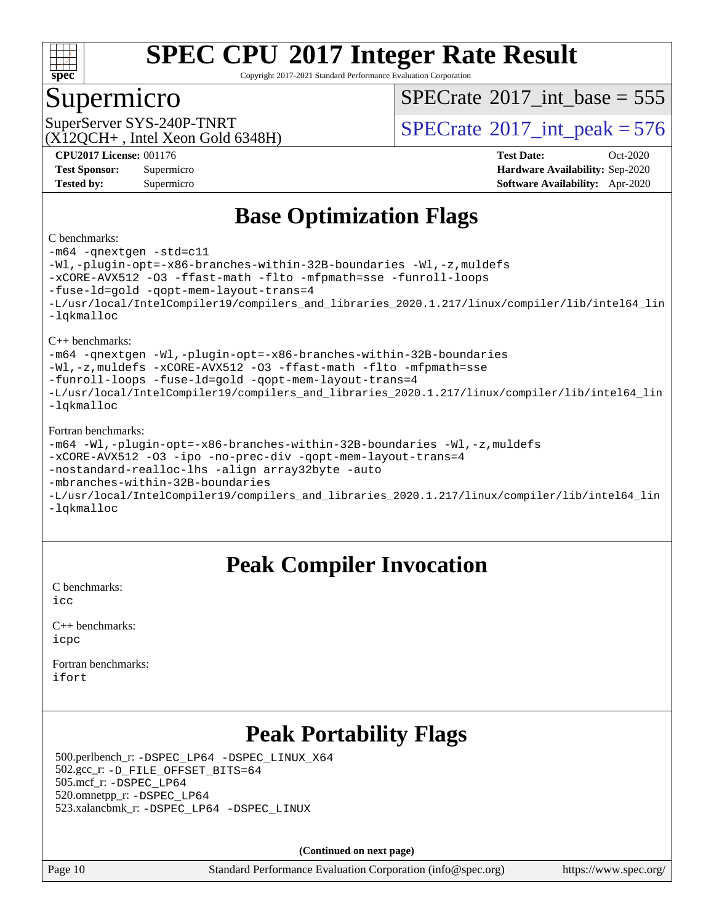

Copyright 2017-2021 Standard Performance Evaluation Corporation

### Supermicro

 $SPECTate$ <sup>®</sup>[2017\\_int\\_base =](http://www.spec.org/auto/cpu2017/Docs/result-fields.html#SPECrate2017intbase) 555

 $(X12OCH+$ , Intel Xeon Gold 6348H)

SuperServer SYS-240P-TNRT  $SUS-240P-TRRT$   $SPECrate^{\circ}2017\_int\_peak = 576$  $SPECrate^{\circ}2017\_int\_peak = 576$ 

**[CPU2017 License:](http://www.spec.org/auto/cpu2017/Docs/result-fields.html#CPU2017License)** 001176 **[Test Date:](http://www.spec.org/auto/cpu2017/Docs/result-fields.html#TestDate)** Oct-2020 **[Test Sponsor:](http://www.spec.org/auto/cpu2017/Docs/result-fields.html#TestSponsor)** Supermicro **[Hardware Availability:](http://www.spec.org/auto/cpu2017/Docs/result-fields.html#HardwareAvailability)** Sep-2020 **[Tested by:](http://www.spec.org/auto/cpu2017/Docs/result-fields.html#Testedby)** Supermicro **[Software Availability:](http://www.spec.org/auto/cpu2017/Docs/result-fields.html#SoftwareAvailability)** Apr-2020

# **[Base Optimization Flags](http://www.spec.org/auto/cpu2017/Docs/result-fields.html#BaseOptimizationFlags)**

#### [C benchmarks](http://www.spec.org/auto/cpu2017/Docs/result-fields.html#Cbenchmarks):

[-m64](http://www.spec.org/cpu2017/results/res2020q4/cpu2017-20201012-24183.flags.html#user_CCbase_m64-icc) [-qnextgen](http://www.spec.org/cpu2017/results/res2020q4/cpu2017-20201012-24183.flags.html#user_CCbase_f-qnextgen) [-std=c11](http://www.spec.org/cpu2017/results/res2020q4/cpu2017-20201012-24183.flags.html#user_CCbase_std-icc-std_0e1c27790398a4642dfca32ffe6c27b5796f9c2d2676156f2e42c9c44eaad0c049b1cdb667a270c34d979996257aeb8fc440bfb01818dbc9357bd9d174cb8524) [-Wl,-plugin-opt=-x86-branches-within-32B-boundaries](http://www.spec.org/cpu2017/results/res2020q4/cpu2017-20201012-24183.flags.html#user_CCbase_f-x86-branches-within-32B-boundaries_0098b4e4317ae60947b7b728078a624952a08ac37a3c797dfb4ffeb399e0c61a9dd0f2f44ce917e9361fb9076ccb15e7824594512dd315205382d84209e912f3) [-Wl,-z,muldefs](http://www.spec.org/cpu2017/results/res2020q4/cpu2017-20201012-24183.flags.html#user_CCbase_link_force_multiple1_b4cbdb97b34bdee9ceefcfe54f4c8ea74255f0b02a4b23e853cdb0e18eb4525ac79b5a88067c842dd0ee6996c24547a27a4b99331201badda8798ef8a743f577) [-xCORE-AVX512](http://www.spec.org/cpu2017/results/res2020q4/cpu2017-20201012-24183.flags.html#user_CCbase_f-xCORE-AVX512) [-O3](http://www.spec.org/cpu2017/results/res2020q4/cpu2017-20201012-24183.flags.html#user_CCbase_f-O3) [-ffast-math](http://www.spec.org/cpu2017/results/res2020q4/cpu2017-20201012-24183.flags.html#user_CCbase_f-ffast-math) [-flto](http://www.spec.org/cpu2017/results/res2020q4/cpu2017-20201012-24183.flags.html#user_CCbase_f-flto) [-mfpmath=sse](http://www.spec.org/cpu2017/results/res2020q4/cpu2017-20201012-24183.flags.html#user_CCbase_f-mfpmath_70eb8fac26bde974f8ab713bc9086c5621c0b8d2f6c86f38af0bd7062540daf19db5f3a066d8c6684be05d84c9b6322eb3b5be6619d967835195b93d6c02afa1) [-funroll-loops](http://www.spec.org/cpu2017/results/res2020q4/cpu2017-20201012-24183.flags.html#user_CCbase_f-funroll-loops) [-fuse-ld=gold](http://www.spec.org/cpu2017/results/res2020q4/cpu2017-20201012-24183.flags.html#user_CCbase_f-fuse-ld_920b3586e2b8c6e0748b9c84fa9b744736ba725a32cab14ad8f3d4ad28eecb2f59d1144823d2e17006539a88734fe1fc08fc3035f7676166309105a78aaabc32) [-qopt-mem-layout-trans=4](http://www.spec.org/cpu2017/results/res2020q4/cpu2017-20201012-24183.flags.html#user_CCbase_f-qopt-mem-layout-trans_fa39e755916c150a61361b7846f310bcdf6f04e385ef281cadf3647acec3f0ae266d1a1d22d972a7087a248fd4e6ca390a3634700869573d231a252c784941a8) [-L/usr/local/IntelCompiler19/compilers\\_and\\_libraries\\_2020.1.217/linux/compiler/lib/intel64\\_lin](http://www.spec.org/cpu2017/results/res2020q4/cpu2017-20201012-24183.flags.html#user_CCbase_linkpath_2cb6f503891ebf8baee7515f4e7d4ec1217444d1d05903cc0091ac4158de400651d2b2313a9fa414cb8a8f0e16ab029634f5c6db340f400369c190d4db8a54a0) [-lqkmalloc](http://www.spec.org/cpu2017/results/res2020q4/cpu2017-20201012-24183.flags.html#user_CCbase_qkmalloc_link_lib_79a818439969f771c6bc311cfd333c00fc099dad35c030f5aab9dda831713d2015205805422f83de8875488a2991c0a156aaa600e1f9138f8fc37004abc96dc5) [C++ benchmarks](http://www.spec.org/auto/cpu2017/Docs/result-fields.html#CXXbenchmarks): [-m64](http://www.spec.org/cpu2017/results/res2020q4/cpu2017-20201012-24183.flags.html#user_CXXbase_m64-icc) [-qnextgen](http://www.spec.org/cpu2017/results/res2020q4/cpu2017-20201012-24183.flags.html#user_CXXbase_f-qnextgen) [-Wl,-plugin-opt=-x86-branches-within-32B-boundaries](http://www.spec.org/cpu2017/results/res2020q4/cpu2017-20201012-24183.flags.html#user_CXXbase_f-x86-branches-within-32B-boundaries_0098b4e4317ae60947b7b728078a624952a08ac37a3c797dfb4ffeb399e0c61a9dd0f2f44ce917e9361fb9076ccb15e7824594512dd315205382d84209e912f3) [-Wl,-z,muldefs](http://www.spec.org/cpu2017/results/res2020q4/cpu2017-20201012-24183.flags.html#user_CXXbase_link_force_multiple1_b4cbdb97b34bdee9ceefcfe54f4c8ea74255f0b02a4b23e853cdb0e18eb4525ac79b5a88067c842dd0ee6996c24547a27a4b99331201badda8798ef8a743f577) [-xCORE-AVX512](http://www.spec.org/cpu2017/results/res2020q4/cpu2017-20201012-24183.flags.html#user_CXXbase_f-xCORE-AVX512) [-O3](http://www.spec.org/cpu2017/results/res2020q4/cpu2017-20201012-24183.flags.html#user_CXXbase_f-O3) [-ffast-math](http://www.spec.org/cpu2017/results/res2020q4/cpu2017-20201012-24183.flags.html#user_CXXbase_f-ffast-math) [-flto](http://www.spec.org/cpu2017/results/res2020q4/cpu2017-20201012-24183.flags.html#user_CXXbase_f-flto) [-mfpmath=sse](http://www.spec.org/cpu2017/results/res2020q4/cpu2017-20201012-24183.flags.html#user_CXXbase_f-mfpmath_70eb8fac26bde974f8ab713bc9086c5621c0b8d2f6c86f38af0bd7062540daf19db5f3a066d8c6684be05d84c9b6322eb3b5be6619d967835195b93d6c02afa1) [-funroll-loops](http://www.spec.org/cpu2017/results/res2020q4/cpu2017-20201012-24183.flags.html#user_CXXbase_f-funroll-loops) [-fuse-ld=gold](http://www.spec.org/cpu2017/results/res2020q4/cpu2017-20201012-24183.flags.html#user_CXXbase_f-fuse-ld_920b3586e2b8c6e0748b9c84fa9b744736ba725a32cab14ad8f3d4ad28eecb2f59d1144823d2e17006539a88734fe1fc08fc3035f7676166309105a78aaabc32) [-qopt-mem-layout-trans=4](http://www.spec.org/cpu2017/results/res2020q4/cpu2017-20201012-24183.flags.html#user_CXXbase_f-qopt-mem-layout-trans_fa39e755916c150a61361b7846f310bcdf6f04e385ef281cadf3647acec3f0ae266d1a1d22d972a7087a248fd4e6ca390a3634700869573d231a252c784941a8) [-L/usr/local/IntelCompiler19/compilers\\_and\\_libraries\\_2020.1.217/linux/compiler/lib/intel64\\_lin](http://www.spec.org/cpu2017/results/res2020q4/cpu2017-20201012-24183.flags.html#user_CXXbase_linkpath_2cb6f503891ebf8baee7515f4e7d4ec1217444d1d05903cc0091ac4158de400651d2b2313a9fa414cb8a8f0e16ab029634f5c6db340f400369c190d4db8a54a0) [-lqkmalloc](http://www.spec.org/cpu2017/results/res2020q4/cpu2017-20201012-24183.flags.html#user_CXXbase_qkmalloc_link_lib_79a818439969f771c6bc311cfd333c00fc099dad35c030f5aab9dda831713d2015205805422f83de8875488a2991c0a156aaa600e1f9138f8fc37004abc96dc5) [Fortran benchmarks](http://www.spec.org/auto/cpu2017/Docs/result-fields.html#Fortranbenchmarks): [-m64](http://www.spec.org/cpu2017/results/res2020q4/cpu2017-20201012-24183.flags.html#user_FCbase_m64-icc) [-Wl,-plugin-opt=-x86-branches-within-32B-boundaries](http://www.spec.org/cpu2017/results/res2020q4/cpu2017-20201012-24183.flags.html#user_FCbase_f-x86-branches-within-32B-boundaries_0098b4e4317ae60947b7b728078a624952a08ac37a3c797dfb4ffeb399e0c61a9dd0f2f44ce917e9361fb9076ccb15e7824594512dd315205382d84209e912f3) [-Wl,-z,muldefs](http://www.spec.org/cpu2017/results/res2020q4/cpu2017-20201012-24183.flags.html#user_FCbase_link_force_multiple1_b4cbdb97b34bdee9ceefcfe54f4c8ea74255f0b02a4b23e853cdb0e18eb4525ac79b5a88067c842dd0ee6996c24547a27a4b99331201badda8798ef8a743f577) [-xCORE-AVX512](http://www.spec.org/cpu2017/results/res2020q4/cpu2017-20201012-24183.flags.html#user_FCbase_f-xCORE-AVX512) [-O3](http://www.spec.org/cpu2017/results/res2020q4/cpu2017-20201012-24183.flags.html#user_FCbase_f-O3) [-ipo](http://www.spec.org/cpu2017/results/res2020q4/cpu2017-20201012-24183.flags.html#user_FCbase_f-ipo) [-no-prec-div](http://www.spec.org/cpu2017/results/res2020q4/cpu2017-20201012-24183.flags.html#user_FCbase_f-no-prec-div) [-qopt-mem-layout-trans=4](http://www.spec.org/cpu2017/results/res2020q4/cpu2017-20201012-24183.flags.html#user_FCbase_f-qopt-mem-layout-trans_fa39e755916c150a61361b7846f310bcdf6f04e385ef281cadf3647acec3f0ae266d1a1d22d972a7087a248fd4e6ca390a3634700869573d231a252c784941a8) [-nostandard-realloc-lhs](http://www.spec.org/cpu2017/results/res2020q4/cpu2017-20201012-24183.flags.html#user_FCbase_f_2003_std_realloc_82b4557e90729c0f113870c07e44d33d6f5a304b4f63d4c15d2d0f1fab99f5daaed73bdb9275d9ae411527f28b936061aa8b9c8f2d63842963b95c9dd6426b8a) [-align array32byte](http://www.spec.org/cpu2017/results/res2020q4/cpu2017-20201012-24183.flags.html#user_FCbase_align_array32byte_b982fe038af199962ba9a80c053b8342c548c85b40b8e86eb3cc33dee0d7986a4af373ac2d51c3f7cf710a18d62fdce2948f201cd044323541f22fc0fffc51b6) [-auto](http://www.spec.org/cpu2017/results/res2020q4/cpu2017-20201012-24183.flags.html#user_FCbase_f-auto) [-mbranches-within-32B-boundaries](http://www.spec.org/cpu2017/results/res2020q4/cpu2017-20201012-24183.flags.html#user_FCbase_f-mbranches-within-32B-boundaries)

```
-L/usr/local/IntelCompiler19/compilers_and_libraries_2020.1.217/linux/compiler/lib/intel64_lin
-lqkmalloc
```
# **[Peak Compiler Invocation](http://www.spec.org/auto/cpu2017/Docs/result-fields.html#PeakCompilerInvocation)**

[C benchmarks](http://www.spec.org/auto/cpu2017/Docs/result-fields.html#Cbenchmarks): [icc](http://www.spec.org/cpu2017/results/res2020q4/cpu2017-20201012-24183.flags.html#user_CCpeak_intel_icc_66fc1ee009f7361af1fbd72ca7dcefbb700085f36577c54f309893dd4ec40d12360134090235512931783d35fd58c0460139e722d5067c5574d8eaf2b3e37e92)

| $C_{++}$ benchmarks: |
|----------------------|
| icpc                 |

[Fortran benchmarks](http://www.spec.org/auto/cpu2017/Docs/result-fields.html#Fortranbenchmarks): [ifort](http://www.spec.org/cpu2017/results/res2020q4/cpu2017-20201012-24183.flags.html#user_FCpeak_intel_ifort_8111460550e3ca792625aed983ce982f94888b8b503583aa7ba2b8303487b4d8a21a13e7191a45c5fd58ff318f48f9492884d4413fa793fd88dd292cad7027ca)

# **[Peak Portability Flags](http://www.spec.org/auto/cpu2017/Docs/result-fields.html#PeakPortabilityFlags)**

 500.perlbench\_r: [-DSPEC\\_LP64](http://www.spec.org/cpu2017/results/res2020q4/cpu2017-20201012-24183.flags.html#b500.perlbench_r_peakPORTABILITY_DSPEC_LP64) [-DSPEC\\_LINUX\\_X64](http://www.spec.org/cpu2017/results/res2020q4/cpu2017-20201012-24183.flags.html#b500.perlbench_r_peakCPORTABILITY_DSPEC_LINUX_X64) 502.gcc\_r: [-D\\_FILE\\_OFFSET\\_BITS=64](http://www.spec.org/cpu2017/results/res2020q4/cpu2017-20201012-24183.flags.html#user_peakPORTABILITY502_gcc_r_file_offset_bits_64_5ae949a99b284ddf4e95728d47cb0843d81b2eb0e18bdfe74bbf0f61d0b064f4bda2f10ea5eb90e1dcab0e84dbc592acfc5018bc955c18609f94ddb8d550002c) 505.mcf\_r: [-DSPEC\\_LP64](http://www.spec.org/cpu2017/results/res2020q4/cpu2017-20201012-24183.flags.html#suite_peakPORTABILITY505_mcf_r_DSPEC_LP64) 520.omnetpp\_r: [-DSPEC\\_LP64](http://www.spec.org/cpu2017/results/res2020q4/cpu2017-20201012-24183.flags.html#suite_peakPORTABILITY520_omnetpp_r_DSPEC_LP64) 523.xalancbmk\_r: [-DSPEC\\_LP64](http://www.spec.org/cpu2017/results/res2020q4/cpu2017-20201012-24183.flags.html#suite_peakPORTABILITY523_xalancbmk_r_DSPEC_LP64) [-DSPEC\\_LINUX](http://www.spec.org/cpu2017/results/res2020q4/cpu2017-20201012-24183.flags.html#b523.xalancbmk_r_peakCXXPORTABILITY_DSPEC_LINUX)

**(Continued on next page)**

Page 10 Standard Performance Evaluation Corporation [\(info@spec.org\)](mailto:info@spec.org) <https://www.spec.org/>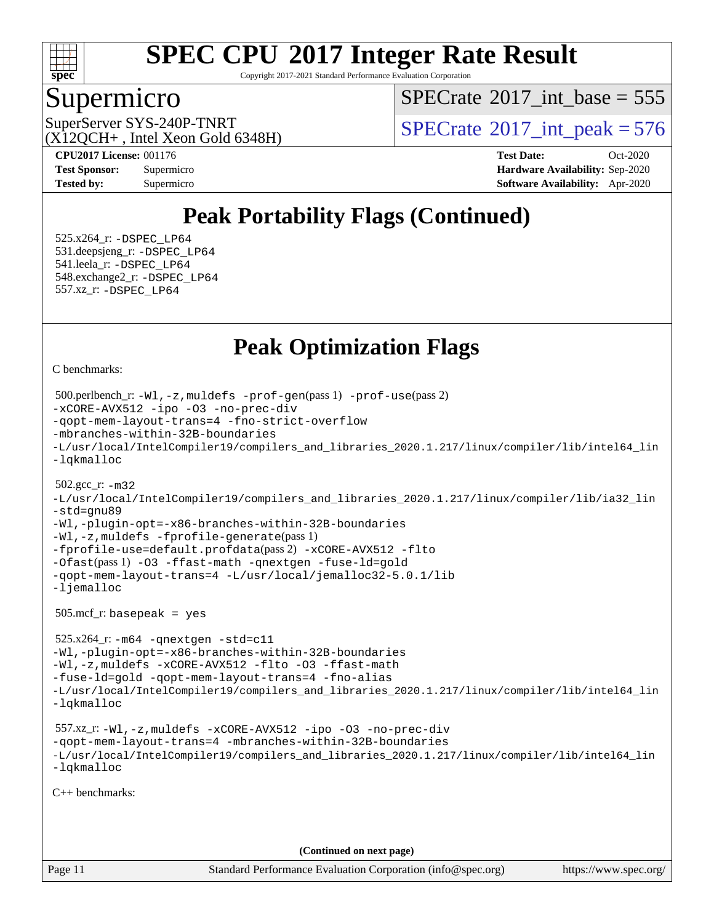

Copyright 2017-2021 Standard Performance Evaluation Corporation

### Supermicro

 $SPECTate$ <sup>®</sup>[2017\\_int\\_base =](http://www.spec.org/auto/cpu2017/Docs/result-fields.html#SPECrate2017intbase) 555

 $(X12OCH+$ , Intel Xeon Gold 6348H)

SuperServer SYS-240P-TNRT  $SUS-240P-TRRT$   $SPECrate^{\circ}2017\_int\_peak = 576$  $SPECrate^{\circ}2017\_int\_peak = 576$ 

**[CPU2017 License:](http://www.spec.org/auto/cpu2017/Docs/result-fields.html#CPU2017License)** 001176 **[Test Date:](http://www.spec.org/auto/cpu2017/Docs/result-fields.html#TestDate)** Oct-2020 **[Test Sponsor:](http://www.spec.org/auto/cpu2017/Docs/result-fields.html#TestSponsor)** Supermicro **[Hardware Availability:](http://www.spec.org/auto/cpu2017/Docs/result-fields.html#HardwareAvailability)** Sep-2020 **[Tested by:](http://www.spec.org/auto/cpu2017/Docs/result-fields.html#Testedby)** Supermicro **[Software Availability:](http://www.spec.org/auto/cpu2017/Docs/result-fields.html#SoftwareAvailability)** Apr-2020

# **[Peak Portability Flags \(Continued\)](http://www.spec.org/auto/cpu2017/Docs/result-fields.html#PeakPortabilityFlags)**

 525.x264\_r: [-DSPEC\\_LP64](http://www.spec.org/cpu2017/results/res2020q4/cpu2017-20201012-24183.flags.html#suite_peakPORTABILITY525_x264_r_DSPEC_LP64) 531.deepsjeng\_r: [-DSPEC\\_LP64](http://www.spec.org/cpu2017/results/res2020q4/cpu2017-20201012-24183.flags.html#suite_peakPORTABILITY531_deepsjeng_r_DSPEC_LP64) 541.leela\_r: [-DSPEC\\_LP64](http://www.spec.org/cpu2017/results/res2020q4/cpu2017-20201012-24183.flags.html#suite_peakPORTABILITY541_leela_r_DSPEC_LP64) 548.exchange2\_r: [-DSPEC\\_LP64](http://www.spec.org/cpu2017/results/res2020q4/cpu2017-20201012-24183.flags.html#suite_peakPORTABILITY548_exchange2_r_DSPEC_LP64) 557.xz\_r: [-DSPEC\\_LP64](http://www.spec.org/cpu2017/results/res2020q4/cpu2017-20201012-24183.flags.html#suite_peakPORTABILITY557_xz_r_DSPEC_LP64)

# **[Peak Optimization Flags](http://www.spec.org/auto/cpu2017/Docs/result-fields.html#PeakOptimizationFlags)**

[C benchmarks](http://www.spec.org/auto/cpu2017/Docs/result-fields.html#Cbenchmarks):

```
Page 11 Standard Performance Evaluation Corporation (info@spec.org) https://www.spec.org/
  500.perlbench_r: -Wl,-z,muldefs -prof-gen(pass 1) -prof-use(pass 2)
-xCORE-AVX512 -ipo -O3 -no-prec-div
-qopt-mem-layout-trans=4 -fno-strict-overflow
-mbranches-within-32B-boundaries
-L/usr/local/IntelCompiler19/compilers_and_libraries_2020.1.217/linux/compiler/lib/intel64_lin
-lqkmalloc
  502.gcc_r: -m32
-L/usr/local/IntelCompiler19/compilers_and_libraries_2020.1.217/linux/compiler/lib/ia32_lin
-std=gnu89
-Wl,-plugin-opt=-x86-branches-within-32B-boundaries
-Wl,-z,muldefs -fprofile-generate(pass 1)
-fprofile-use=default.profdata(pass 2) -xCORE-AVX512 -flto
-Ofast(pass 1) -O3 -ffast-math -qnextgen -fuse-ld=gold
-qopt-mem-layout-trans=4 -L/usr/local/jemalloc32-5.0.1/lib
-ljemalloc
  505.mcf_r: basepeak = yes
  525.x264_r: -m64 -qnextgen -std=c11
-Wl,-plugin-opt=-x86-branches-within-32B-boundaries
-Wl,-z,muldefs -xCORE-AVX512 -flto -O3 -ffast-math
-fuse-ld=gold -qopt-mem-layout-trans=4 -fno-alias
-L/usr/local/IntelCompiler19/compilers_and_libraries_2020.1.217/linux/compiler/lib/intel64_lin
-lqkmalloc
  557.xz_r: -Wl,-z,muldefs -xCORE-AVX512 -ipo -O3 -no-prec-div
-qopt-mem-layout-trans=4 -mbranches-within-32B-boundaries
-L/usr/local/IntelCompiler19/compilers_and_libraries_2020.1.217/linux/compiler/lib/intel64_lin
-lqkmalloc
C++ benchmarks: 
                                      (Continued on next page)
```